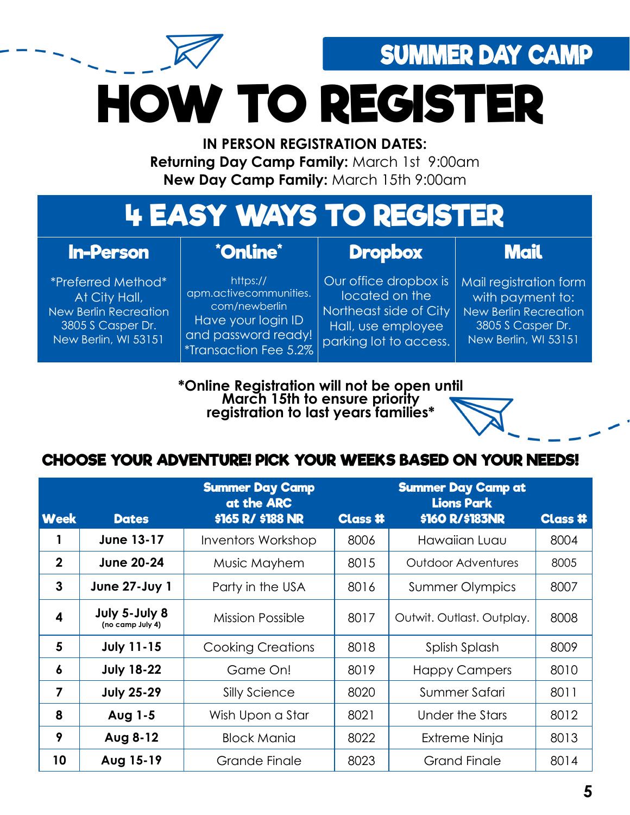SUMMER DAY CAMP

**HOW TO REGISTER**

**IN PERSON REGISTRATION DATES: Returning Day Camp Family:** March 1st 9:00am **New Day Camp Family:** March 15th 9:00am

# **4 EASY WAYS TO REGISTER**

### **In-Person**

\*Preferred Method\* At City Hall, New Berlin Recreation 3805 S Casper Dr. New Berlin, WI 53151

#### **\*Online\***

#### **Dropbox**

**Mail**

https:// apm.activecommunities. com/newberlin Have your login ID and password ready! \*Transaction Fee 5.2%

Our office dropbox is located on the Northeast side of City Hall, use employee parking lot to access.

Mail registration form with payment to: New Berlin Recreation 3805 S Casper Dr. New Berlin, WI 53151

**\*Online Registration will not be open until March 15th to ensure priority registration to last years families\***

## **CHOOSE YOUR ADVENTURE! PICK YOUR WEEKS BASED ON YOUR NEEDS!**

|                  |                                   | <b>Summer Day Camp</b><br>at the ARC |                | <b>Summer Day Camp at</b><br><b>Lions Park</b> |                |
|------------------|-----------------------------------|--------------------------------------|----------------|------------------------------------------------|----------------|
| <b>Week</b>      | <b>Dates</b>                      | \$165 R/ \$188 NR                    | <b>Class #</b> | \$160 R/\$183NR                                | <b>Class #</b> |
|                  | <b>June 13-17</b>                 | <b>Inventors Workshop</b>            | 8006           | Hawaiian Luau                                  | 8004           |
| $\mathbf{2}$     | <b>June 20-24</b>                 | Music Mayhem                         | 8015           | <b>Outdoor Adventures</b>                      | 8005           |
| 3                | <b>June 27-Juy 1</b>              | Party in the USA                     | 8016           | <b>Summer Olympics</b>                         | 8007           |
| 4                | July 5-July 8<br>(no camp July 4) | Mission Possible                     | 8017           | Outwit. Outlast. Outplay.                      | 8008           |
| 5                | <b>July 11-15</b>                 | <b>Cooking Creations</b>             | 8018           | Splish Splash                                  | 8009           |
| $\boldsymbol{6}$ | <b>July 18-22</b>                 | Game On!                             | 8019           | <b>Happy Campers</b>                           | 8010           |
| 7                | <b>July 25-29</b>                 | Silly Science                        | 8020           | Summer Safari                                  | 8011           |
| 8                | Aug 1-5                           | Wish Upon a Star                     | 8021           | Under the Stars                                | 8012           |
| 9                | Aug 8-12                          | <b>Block Mania</b>                   | 8022           | Extreme Ninja                                  | 8013           |
| 10               | Aug 15-19                         | Grande Finale                        | 8023           | <b>Grand Finale</b>                            | 8014           |